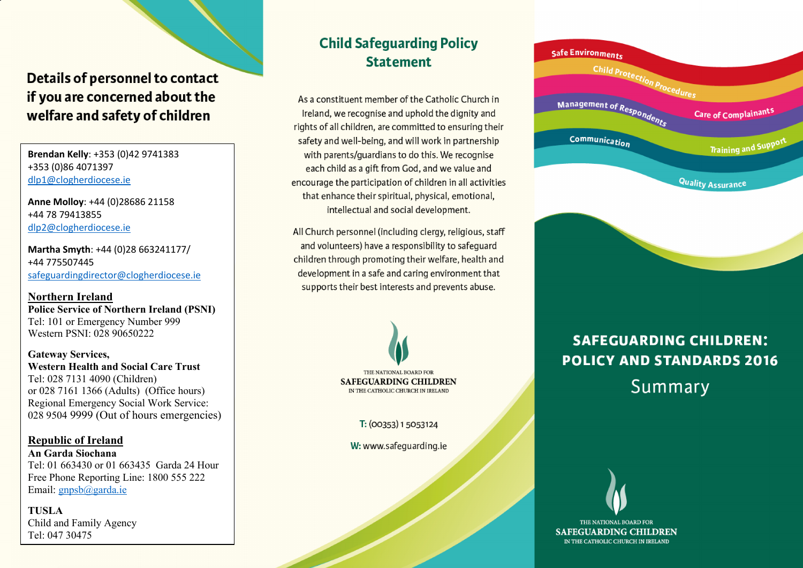## Details of personnel to contact if you are concerned about the welfare and safety of children

 **Brendan Kelly**: +353 (0)42 9741383 +353 (0)86 4071397 dlp1@clogherdiocese.ie

**Anne Molloy**: +44 (0)28686 21158 +44 78 79413855 dlp2@clogherdiocese.ie

**Martha Smyth**: +44 (0)28 663241177/ +44 775507445 safeguardingdirector@clogherdiocese.ie

**Northern Ireland Police Service of Northern Ireland (PSNI)**  Tel: 101 or Emergency Number 999 Western PSNI: 028 90650222

**Gateway Services, Western Health and Social Care Trust**  Tel: 028 7131 4090 (Children) or 028 7161 1366 (Adults) (Office hours) Regional Emergency Social Work Service: 028 9504 9999 (Out of hours emergencies)

 **An Garda Siochana Republic of Ireland** Tel: 01 663430 or 01 663435 Garda 24 Hour Free Phone Reporting Line: 1800 555 222 Email: **gnpsb**@garda.ie

**TUSLA** Child and Family Agency Tel: 047 30475

### **Child Safequarding Policy Statement**

As a constituent member of the Catholic Church in Ireland, we recognise and uphold the dignity and rights of all children, are committed to ensuring their safety and well-being, and will work in partnership with parents/quardians to do this. We recognise each child as a gift from God, and we value and encourage the participation of children in all activities that enhance their spiritual, physical, emotional, intellectual and social development.

All Church personnel (including clergy, religious, staff and volunteers) have a responsibility to safequard children through promoting their welfare, health and development in a safe and caring environment that supports their best interests and prevents abuse.



T: (00353) 1 5053124

W: www.safequarding.ie



## **SAFEGUARDING CHILDREN: POLICY AND STANDARDS 2016** Summary